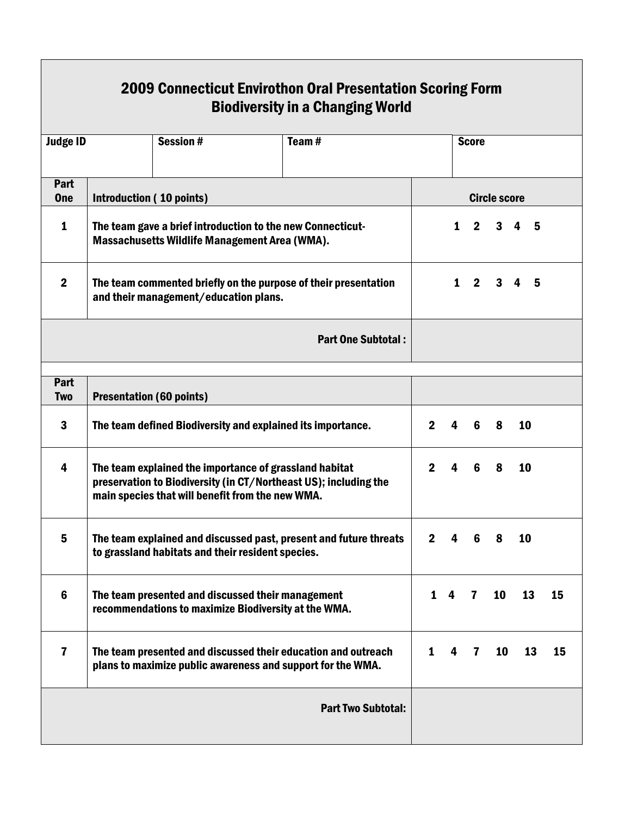| <b>2009 Connecticut Envirothon Oral Presentation Scoring Form</b><br><b>Biodiversity in a Changing World</b> |                                                                                                                                                                                |  |  |                           |              |                     |              |    |                     |    |  |  |  |
|--------------------------------------------------------------------------------------------------------------|--------------------------------------------------------------------------------------------------------------------------------------------------------------------------------|--|--|---------------------------|--------------|---------------------|--------------|----|---------------------|----|--|--|--|
| <b>Session#</b><br><b>Judge ID</b><br>Team $#$                                                               |                                                                                                                                                                                |  |  | <b>Score</b>              |              |                     |              |    |                     |    |  |  |  |
| Part<br><b>One</b>                                                                                           | Introduction (10 points)                                                                                                                                                       |  |  |                           |              | <b>Circle score</b> |              |    |                     |    |  |  |  |
| $\mathbf{1}$                                                                                                 | The team gave a brief introduction to the new Connecticut-<br>Massachusetts Wildlife Management Area (WMA).                                                                    |  |  |                           |              | $\mathbf 1$         | $2^{\circ}$  |    | $3 \quad 4 \quad 5$ |    |  |  |  |
| $\boldsymbol{2}$                                                                                             | The team commented briefly on the purpose of their presentation<br>and their management/education plans.                                                                       |  |  |                           |              |                     |              |    | $1 \t2 \t3 \t4 \t5$ |    |  |  |  |
|                                                                                                              |                                                                                                                                                                                |  |  | <b>Part One Subtotal:</b> |              |                     |              |    |                     |    |  |  |  |
| Part<br><b>Two</b>                                                                                           | <b>Presentation (60 points)</b>                                                                                                                                                |  |  |                           |              |                     |              |    |                     |    |  |  |  |
| 3                                                                                                            | The team defined Biodiversity and explained its importance.                                                                                                                    |  |  |                           | $\mathbf{2}$ | 4                   | 6            | 8  | 10                  |    |  |  |  |
| $\overline{\mathbf{4}}$                                                                                      | The team explained the importance of grassland habitat<br>preservation to Biodiversity (in CT/Northeast US); including the<br>main species that will benefit from the new WMA. |  |  |                           | $2^{\circ}$  | $\overline{4}$      | 6            | 8  | 10                  |    |  |  |  |
| 5                                                                                                            | The team explained and discussed past, present and future threats<br>to grassland habitats and their resident species.                                                         |  |  |                           | $2^{\circ}$  | 4                   | 6            | 8  | 10                  |    |  |  |  |
| $6\phantom{1}$                                                                                               | The team presented and discussed their management<br>recommendations to maximize Biodiversity at the WMA.                                                                      |  |  | 1                         | 4            | 7                   | 10           | 13 | 15                  |    |  |  |  |
| $\overline{\mathbf{r}}$                                                                                      | The team presented and discussed their education and outreach<br>plans to maximize public awareness and support for the WMA.                                                   |  |  |                           |              | 4                   | $\mathbf{7}$ | 10 | 13                  | 15 |  |  |  |
|                                                                                                              |                                                                                                                                                                                |  |  | <b>Part Two Subtotal:</b> |              |                     |              |    |                     |    |  |  |  |